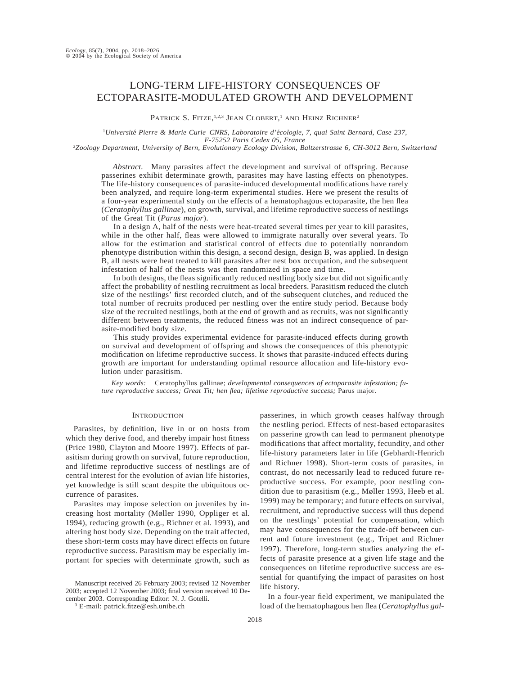# LONG-TERM LIFE-HISTORY CONSEQUENCES OF ECTOPARASITE-MODULATED GROWTH AND DEVELOPMENT

PATRICK S. FITZE,<sup>1,2,3</sup> JEAN CLOBERT,<sup>1</sup> AND HEINZ RICHNER<sup>2</sup>

<sup>1</sup>*Universite´ Pierre & Marie Curie–CNRS, Laboratoire d'e´cologie, 7, quai Saint Bernard, Case 237, F-75252 Paris Cedex 05, France*

<sup>2</sup>*Zoology Department, University of Bern, Evolutionary Ecology Division, Baltzerstrasse 6, CH-3012 Bern, Switzerland*

*Abstract.* Many parasites affect the development and survival of offspring. Because passerines exhibit determinate growth, parasites may have lasting effects on phenotypes. The life-history consequences of parasite-induced developmental modifications have rarely been analyzed, and require long-term experimental studies. Here we present the results of a four-year experimental study on the effects of a hematophagous ectoparasite, the hen flea (*Ceratophyllus gallinae*), on growth, survival, and lifetime reproductive success of nestlings of the Great Tit (*Parus major*).

In a design A, half of the nests were heat-treated several times per year to kill parasites, while in the other half, fleas were allowed to immigrate naturally over several years. To allow for the estimation and statistical control of effects due to potentially nonrandom phenotype distribution within this design, a second design, design B, was applied. In design B, all nests were heat treated to kill parasites after nest box occupation, and the subsequent infestation of half of the nests was then randomized in space and time.

In both designs, the fleas significantly reduced nestling body size but did not significantly affect the probability of nestling recruitment as local breeders. Parasitism reduced the clutch size of the nestlings' first recorded clutch, and of the subsequent clutches, and reduced the total number of recruits produced per nestling over the entire study period. Because body size of the recruited nestlings, both at the end of growth and as recruits, was not significantly different between treatments, the reduced fitness was not an indirect consequence of parasite-modified body size.

This study provides experimental evidence for parasite-induced effects during growth on survival and development of offspring and shows the consequences of this phenotypic modification on lifetime reproductive success. It shows that parasite-induced effects during growth are important for understanding optimal resource allocation and life-history evolution under parasitism.

*Key words:* Ceratophyllus gallinae; *developmental consequences of ectoparasite infestation; future reproductive success; Great Tit; hen flea; lifetime reproductive success;* Parus major*.*

### **INTRODUCTION**

Parasites, by definition, live in or on hosts from which they derive food, and thereby impair host fitness (Price 1980, Clayton and Moore 1997). Effects of parasitism during growth on survival, future reproduction, and lifetime reproductive success of nestlings are of central interest for the evolution of avian life histories, yet knowledge is still scant despite the ubiquitous occurrence of parasites.

Parasites may impose selection on juveniles by increasing host mortality (Møller 1990, Oppliger et al. 1994), reducing growth (e.g., Richner et al. 1993), and altering host body size. Depending on the trait affected, these short-term costs may have direct effects on future reproductive success. Parasitism may be especially important for species with determinate growth, such as

passerines, in which growth ceases halfway through the nestling period. Effects of nest-based ectoparasites on passerine growth can lead to permanent phenotype modifications that affect mortality, fecundity, and other life-history parameters later in life (Gebhardt-Henrich and Richner 1998). Short-term costs of parasites, in contrast, do not necessarily lead to reduced future reproductive success. For example, poor nestling condition due to parasitism (e.g., Møller 1993, Heeb et al. 1999) may be temporary; and future effects on survival, recruitment, and reproductive success will thus depend on the nestlings' potential for compensation, which may have consequences for the trade-off between current and future investment (e.g., Tripet and Richner 1997). Therefore, long-term studies analyzing the effects of parasite presence at a given life stage and the consequences on lifetime reproductive success are essential for quantifying the impact of parasites on host life history.

In a four-year field experiment, we manipulated the load of the hematophagous hen flea (*Ceratophyllus gal-*

Manuscript received 26 February 2003; revised 12 November 2003; accepted 12 November 2003; final version received 10 December 2003. Corresponding Editor: N. J. Gotelli.

<sup>3</sup> E-mail: patrick.fitze@esh.unibe.ch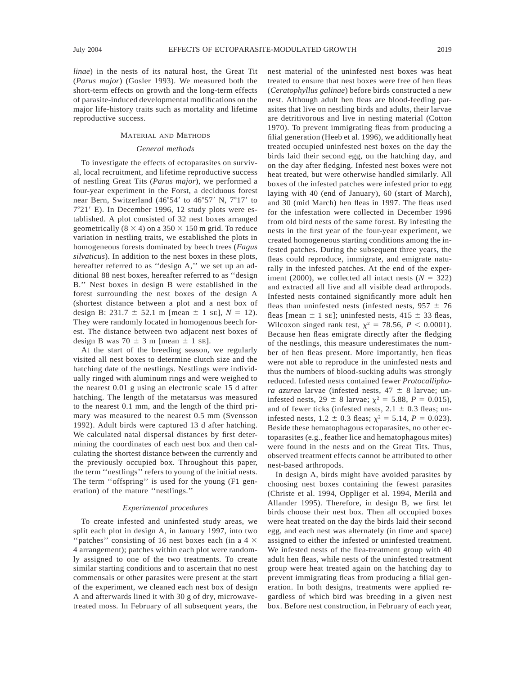*linae*) in the nests of its natural host, the Great Tit (*Parus major*) (Gosler 1993). We measured both the short-term effects on growth and the long-term effects of parasite-induced developmental modifications on the major life-history traits such as mortality and lifetime reproductive success.

# MATERIAL AND METHODS

# *General methods*

To investigate the effects of ectoparasites on survival, local recruitment, and lifetime reproductive success of nestling Great Tits (*Parus major*), we performed a four-year experiment in the Forst, a deciduous forest near Bern, Switzerland  $(46°54'$  to  $46°57'$  N,  $7°17'$  to  $7°21'$  E). In December 1996, 12 study plots were established. A plot consisted of 32 nest boxes arranged geometrically  $(8 \times 4)$  on a 350  $\times$  150 m grid. To reduce variation in nestling traits, we established the plots in homogeneous forests dominated by beech trees (*Fagus silvaticus*). In addition to the nest boxes in these plots, hereafter referred to as "design A," we set up an additional 88 nest boxes, hereafter referred to as ''design B.'' Nest boxes in design B were established in the forest surrounding the nest boxes of the design A (shortest distance between a plot and a nest box of design B: 231.7  $\pm$  52.1 m [mean  $\pm$  1 sE],  $N = 12$ ). They were randomly located in homogenous beech forest. The distance between two adjacent nest boxes of design B was  $70 \pm 3$  m [mean  $\pm 1$  SE].

At the start of the breeding season, we regularly visited all nest boxes to determine clutch size and the hatching date of the nestlings. Nestlings were individually ringed with aluminum rings and were weighed to the nearest 0.01 g using an electronic scale 15 d after hatching. The length of the metatarsus was measured to the nearest 0.1 mm, and the length of the third primary was measured to the nearest 0.5 mm (Svensson 1992). Adult birds were captured 13 d after hatching. We calculated natal dispersal distances by first determining the coordinates of each nest box and then calculating the shortest distance between the currently and the previously occupied box. Throughout this paper, the term ''nestlings'' refers to young of the initial nests. The term ''offspring'' is used for the young (F1 generation) of the mature ''nestlings.''

### *Experimental procedures*

To create infested and uninfested study areas, we split each plot in design A, in January 1997, into two 'patches'' consisting of 16 nest boxes each (in a  $4 \times$ 4 arrangement); patches within each plot were randomly assigned to one of the two treatments. To create similar starting conditions and to ascertain that no nest commensals or other parasites were present at the start of the experiment, we cleaned each nest box of design A and afterwards lined it with 30 g of dry, microwavetreated moss. In February of all subsequent years, the nest material of the uninfested nest boxes was heat treated to ensure that nest boxes were free of hen fleas (*Ceratophyllus galinae*) before birds constructed a new nest. Although adult hen fleas are blood-feeding parasites that live on nestling birds and adults, their larvae are detritivorous and live in nesting material (Cotton 1970). To prevent immigrating fleas from producing a filial generation (Heeb et al. 1996), we additionally heat treated occupied uninfested nest boxes on the day the birds laid their second egg, on the hatching day, and on the day after fledging. Infested nest boxes were not heat treated, but were otherwise handled similarly. All boxes of the infested patches were infested prior to egg laying with 40 (end of January), 60 (start of March), and 30 (mid March) hen fleas in 1997. The fleas used for the infestation were collected in December 1996 from old bird nests of the same forest. By infesting the nests in the first year of the four-year experiment, we created homogeneous starting conditions among the infested patches. During the subsequent three years, the fleas could reproduce, immigrate, and emigrate naturally in the infested patches. At the end of the experiment (2000), we collected all intact nests  $(N = 322)$ and extracted all live and all visible dead arthropods. Infested nests contained significantly more adult hen fleas than uninfested nests (infested nests,  $957 \pm 76$ fleas [mean  $\pm$  1 sE]; uninfested nests, 415  $\pm$  33 fleas, Wilcoxon singed rank test,  $\chi^2 = 78.56$ ,  $P < 0.0001$ ). Because hen fleas emigrate directly after the fledging of the nestlings, this measure underestimates the number of hen fleas present. More importantly, hen fleas were not able to reproduce in the uninfested nests and thus the numbers of blood-sucking adults was strongly reduced. Infested nests contained fewer *Protocalliphora azurea* larvae (infested nests,  $47 \pm 8$  larvae; uninfested nests,  $29 \pm 8$  larvae;  $\chi^2 = 5.88$ ,  $P = 0.015$ ), and of fewer ticks (infested nests,  $2.1 \pm 0.3$  fleas; uninfested nests,  $1.2 \pm 0.3$  fleas;  $\chi^2 = 5.14$ ,  $P = 0.023$ ). Beside these hematophagous ectoparasites, no other ectoparasites (e.g., feather lice and hematophagous mites) were found in the nests and on the Great Tits. Thus, observed treatment effects cannot be attributed to other nest-based arthropods.

In design A, birds might have avoided parasites by choosing nest boxes containing the fewest parasites (Christe et al. 1994, Oppliger et al. 1994, Merilä and Allander 1995). Therefore, in design B, we first let birds choose their nest box. Then all occupied boxes were heat treated on the day the birds laid their second egg, and each nest was alternately (in time and space) assigned to either the infested or uninfested treatment. We infested nests of the flea-treatment group with 40 adult hen fleas, while nests of the uninfested treatment group were heat treated again on the hatching day to prevent immigrating fleas from producing a filial generation. In both designs, treatments were applied regardless of which bird was breeding in a given nest box. Before nest construction, in February of each year,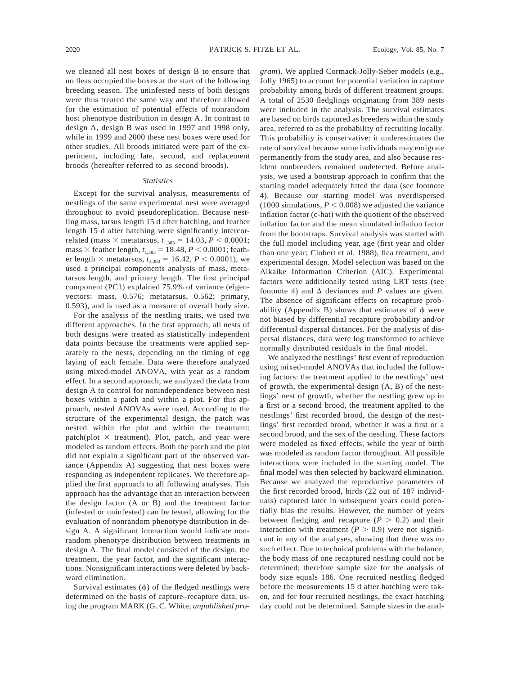we cleaned all nest boxes of design B to ensure that no fleas occupied the boxes at the start of the following breeding season. The uninfested nests of both designs were thus treated the same way and therefore allowed for the estimation of potential effects of nonrandom host phenotype distribution in design A. In contrast to design A, design B was used in 1997 and 1998 only, while in 1999 and 2000 these nest boxes were used for other studies. All broods initiated were part of the experiment, including late, second, and replacement broods (hereafter referred to as second broods).

### *Statistics*

Except for the survival analysis, measurements of nestlings of the same experimental nest were averaged throughout to avoid pseudoreplication. Because nestling mass, tarsus length 15 d after hatching, and feather length 15 d after hatching were significantly intercorrelated (mass  $\times$  metatarsus,  $t_{1.383} = 14.03, P \le 0.0001;$ mass  $\times$  feather length,  $t_{1,383} = 18.48, P < 0.0001$ ; feather length  $\times$  metatarsus,  $t_{1,383} = 16.42, P < 0.0001$ ), we used a principal components analysis of mass, metatarsus length, and primary length. The first principal component (PC1) explained 75.9% of variance (eigenvectors: mass, 0.576; metatarsus, 0.562; primary, 0.593), and is used as a measure of overall body size.

For the analysis of the nestling traits, we used two different approaches. In the first approach, all nests of both designs were treated as statistically independent data points because the treatments were applied separately to the nests, depending on the timing of egg laying of each female. Data were therefore analyzed using mixed-model ANOVA, with year as a random effect. In a second approach, we analyzed the data from design A to control for nonindependence between nest boxes within a patch and within a plot. For this approach, nested ANOVAs were used. According to the structure of the experimental design, the patch was nested within the plot and within the treatment: patch(plot  $\times$  treatment). Plot, patch, and year were modeled as random effects. Both the patch and the plot did not explain a significant part of the observed variance (Appendix A) suggesting that nest boxes were responding as independent replicates. We therefore applied the first approach to all following analyses. This approach has the advantage that an interaction between the design factor (A or B) and the treatment factor (infested or uninfested) can be tested, allowing for the evaluation of nonrandom phenotype distribution in design A. A significant interaction would indicate nonrandom phenotype distribution between treatments in design A. The final model consisted of the design, the treatment, the year factor, and the significant interactions. Nonsignificant interactions were deleted by backward elimination.

Survival estimates  $(\phi)$  of the fledged nestlings were determined on the basis of capture–recapture data, using the program MARK (G. C. White, *unpublished pro-*

*gram*). We applied Cormack-Jolly-Seber models (e.g., Jolly 1965) to account for potential variation in capture probability among birds of different treatment groups. A total of 2530 fledglings originating from 389 nests were included in the analysis. The survival estimates are based on birds captured as breeders within the study area, referred to as the probability of recruiting locally. This probability is conservative: it underestimates the rate of survival because some individuals may emigrate permanently from the study area, and also because resident nonbreeders remained undetected. Before analysis, we used a bootstrap approach to confirm that the starting model adequately fitted the data (see footnote 4). Because our starting model was overdispersed (1000 simulations,  $P \le 0.008$ ) we adjusted the variance inflation factor (c-hat) with the quotient of the observed inflation factor and the mean simulated inflation factor from the bootstraps. Survival analysis was started with the full model including year, age (first year and older than one year; Clobert et al. 1988), flea treatment, and experimental design. Model selection was based on the Aikaike Information Criterion (AIC). Experimental factors were additionally tested using LRT tests (see footnote 4) and  $\Delta$  deviances and *P* values are given. The absence of significant effects on recapture probability (Appendix B) shows that estimates of  $\phi$  were not biased by differential recapture probability and/or differential dispersal distances. For the analysis of dispersal distances, data were log transformed to achieve normally distributed residuals in the final model.

We analyzed the nestlings' first event of reproduction using mixed-model ANOVAs that included the following factors: the treatment applied to the nestlings' nest of growth, the experimental design (A, B) of the nestlings' nest of growth, whether the nestling grew up in a first or a second brood, the treatment applied to the nestlings' first recorded brood, the design of the nestlings' first recorded brood, whether it was a first or a second brood, and the sex of the nestling. These factors were modeled as fixed effects, while the year of birth was modeled as random factor throughout. All possible interactions were included in the starting model. The final model was then selected by backward elimination. Because we analyzed the reproductive parameters of the first recorded brood, birds (22 out of 187 individuals) captured later in subsequent years could potentially bias the results. However, the number of years between fledging and recapture  $(P > 0.2)$  and their interaction with treatment ( $P > 0.9$ ) were not significant in any of the analyses, showing that there was no such effect. Due to technical problems with the balance, the body mass of one recaptured nestling could not be determined; therefore sample size for the analysis of body size equals 186. One recruited nestling fledged before the measurements 15 d after hatching were taken, and for four recruited nestlings, the exact hatching day could not be determined. Sample sizes in the anal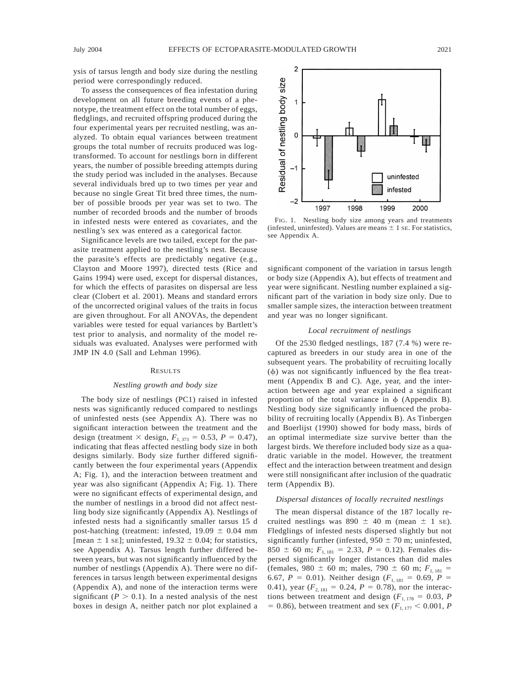ysis of tarsus length and body size during the nestling period were correspondingly reduced.

To assess the consequences of flea infestation during development on all future breeding events of a phenotype, the treatment effect on the total number of eggs, fledglings, and recruited offspring produced during the four experimental years per recruited nestling, was analyzed. To obtain equal variances between treatment groups the total number of recruits produced was logtransformed. To account for nestlings born in different years, the number of possible breeding attempts during the study period was included in the analyses. Because several individuals bred up to two times per year and because no single Great Tit bred three times, the number of possible broods per year was set to two. The number of recorded broods and the number of broods in infested nests were entered as covariates, and the nestling's sex was entered as a categorical factor.

Significance levels are two tailed, except for the parasite treatment applied to the nestling's nest. Because the parasite's effects are predictably negative (e.g., Clayton and Moore 1997), directed tests (Rice and Gains 1994) were used, except for dispersal distances, for which the effects of parasites on dispersal are less clear (Clobert et al. 2001). Means and standard errors of the uncorrected original values of the traits in focus are given throughout. For all ANOVAs, the dependent variables were tested for equal variances by Bartlett's test prior to analysis, and normality of the model residuals was evaluated. Analyses were performed with JMP IN 4.0 (Sall and Lehman 1996).

### **RESULTS**

### *Nestling growth and body size*

The body size of nestlings (PC1) raised in infested nests was significantly reduced compared to nestlings of uninfested nests (see Appendix A). There was no significant interaction between the treatment and the design (treatment  $\times$  design,  $F_{1, 373} = 0.53, P = 0.47$ ), indicating that fleas affected nestling body size in both designs similarly. Body size further differed significantly between the four experimental years (Appendix A; Fig. 1), and the interaction between treatment and year was also significant (Appendix A; Fig. 1). There were no significant effects of experimental design, and the number of nestlings in a brood did not affect nestling body size significantly (Appendix A). Nestlings of infested nests had a significantly smaller tarsus 15 d post-hatching (treatment: infested,  $19.09 \pm 0.04$  mm [mean  $\pm$  1 se]; uninfested, 19.32  $\pm$  0.04; for statistics, see Appendix A). Tarsus length further differed between years, but was not significantly influenced by the number of nestlings (Appendix A). There were no differences in tarsus length between experimental designs (Appendix A), and none of the interaction terms were significant ( $P > 0.1$ ). In a nested analysis of the nest boxes in design A, neither patch nor plot explained a



FIG. 1. Nestling body size among years and treatments (infested, uninfested). Values are means  $\pm$  1 se. For statistics, see Appendix A.

significant component of the variation in tarsus length or body size (Appendix A), but effects of treatment and year were significant. Nestling number explained a significant part of the variation in body size only. Due to smaller sample sizes, the interaction between treatment and year was no longer significant.

### *Local recruitment of nestlings*

Of the 2530 fledged nestlings, 187 (7.4 %) were recaptured as breeders in our study area in one of the subsequent years. The probability of recruiting locally  $(\phi)$  was not significantly influenced by the flea treatment (Appendix B and C). Age, year, and the interaction between age and year explained a significant proportion of the total variance in  $\phi$  (Appendix B). Nestling body size significantly influenced the probability of recruiting locally (Appendix B). As Tinbergen and Boerlijst (1990) showed for body mass, birds of an optimal intermediate size survive better than the largest birds. We therefore included body size as a quadratic variable in the model. However, the treatment effect and the interaction between treatment and design were still nonsignificant after inclusion of the quadratic term (Appendix B).

# *Dispersal distances of locally recruited nestlings*

The mean dispersal distance of the 187 locally recruited nestlings was 890  $\pm$  40 m (mean  $\pm$  1 se). Fledglings of infested nests dispersed slightly but not significantly further (infested,  $950 \pm 70$  m; uninfested, 850  $\pm$  60 m;  $F_{1, 181} = 2.33$ ,  $P = 0.12$ ). Females dispersed significantly longer distances than did males (females, 980  $\pm$  60 m; males, 790  $\pm$  60 m;  $F_{1,181}$  = 6.67,  $P = 0.01$ ). Neither design ( $F_{1, 181} = 0.69$ ,  $P =$ 0.41), year  $(F_{2, 181} = 0.24, P = 0.78)$ , nor the interactions between treatment and design  $(F_{1,178} = 0.03, P)$  $= 0.86$ ), between treatment and sex ( $F_{1, 177} < 0.001$ , *P*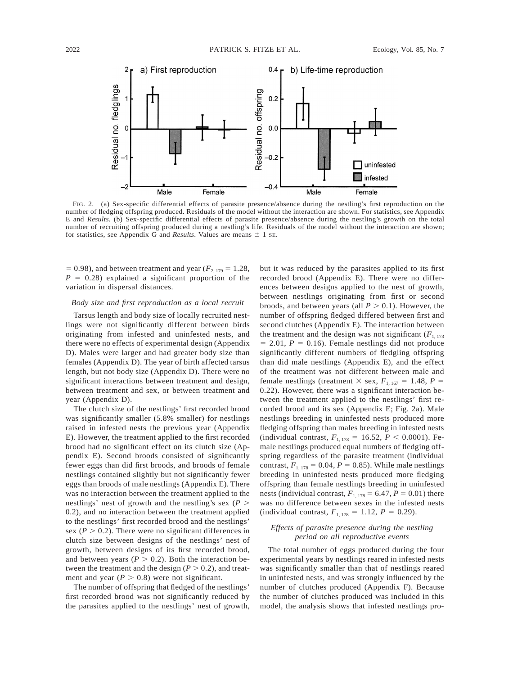

FIG. 2. (a) Sex-specific differential effects of parasite presence/absence during the nestling's first reproduction on the number of fledging offspring produced. Residuals of the model without the interaction are shown. For statistics, see Appendix E and *Results*. (b) Sex-specific differential effects of parasite presence/absence during the nestling's growth on the total number of recruiting offspring produced during a nestling's life. Residuals of the model without the interaction are shown; for statistics, see Appendix G and *Results*. Values are means  $\pm$  1 se.

 $= 0.98$ ), and between treatment and year ( $F_{2, 179} = 1.28$ ,  $P = 0.28$ ) explained a significant proportion of the variation in dispersal distances.

### *Body size and first reproduction as a local recruit*

Tarsus length and body size of locally recruited nestlings were not significantly different between birds originating from infested and uninfested nests, and there were no effects of experimental design (Appendix D). Males were larger and had greater body size than females (Appendix D). The year of birth affected tarsus length, but not body size (Appendix D). There were no significant interactions between treatment and design, between treatment and sex, or between treatment and year (Appendix D).

The clutch size of the nestlings' first recorded brood was significantly smaller (5.8% smaller) for nestlings raised in infested nests the previous year (Appendix E). However, the treatment applied to the first recorded brood had no significant effect on its clutch size (Appendix E). Second broods consisted of significantly fewer eggs than did first broods, and broods of female nestlings contained slightly but not significantly fewer eggs than broods of male nestlings (Appendix E). There was no interaction between the treatment applied to the nestlings' nest of growth and the nestling's sex ( $P$  > 0.2), and no interaction between the treatment applied to the nestlings' first recorded brood and the nestlings' sex ( $P > 0.2$ ). There were no significant differences in clutch size between designs of the nestlings' nest of growth, between designs of its first recorded brood, and between years  $(P > 0.2)$ . Both the interaction between the treatment and the design  $(P > 0.2)$ , and treatment and year  $(P > 0.8)$  were not significant.

The number of offspring that fledged of the nestlings' first recorded brood was not significantly reduced by the parasites applied to the nestlings' nest of growth,

but it was reduced by the parasites applied to its first recorded brood (Appendix E). There were no differences between designs applied to the nest of growth, between nestlings originating from first or second broods, and between years (all  $P > 0.1$ ). However, the number of offspring fledged differed between first and second clutches (Appendix E). The interaction between the treatment and the design was not significant  $(F_{1,173})$  $= 2.01, P = 0.16$ . Female nestlings did not produce significantly different numbers of fledgling offspring than did male nestlings (Appendix E), and the effect of the treatment was not different between male and female nestlings (treatment  $\times$  sex,  $F_{1, 167} = 1.48$ ,  $P =$ 0.22). However, there was a significant interaction between the treatment applied to the nestlings' first recorded brood and its sex (Appendix E; Fig. 2a). Male nestlings breeding in uninfested nests produced more fledging offspring than males breeding in infested nests (individual contrast,  $F_{1, 178} = 16.52, P < 0.0001$ ). Female nestlings produced equal numbers of fledging offspring regardless of the parasite treatment (individual contrast,  $F_{1, 178} = 0.04, P = 0.85$ . While male nestlings breeding in uninfested nests produced more fledging offspring than female nestlings breeding in uninfested nests (individual contrast,  $F_{1, 178} = 6.47$ ,  $P = 0.01$ ) there was no difference between sexes in the infested nests (individual contrast,  $F_{1, 178} = 1.12, P = 0.29$ ).

# *Effects of parasite presence during the nestling period on all reproductive events*

The total number of eggs produced during the four experimental years by nestlings reared in infested nests was significantly smaller than that of nestlings reared in uninfested nests, and was strongly influenced by the number of clutches produced (Appendix F). Because the number of clutches produced was included in this model, the analysis shows that infested nestlings pro-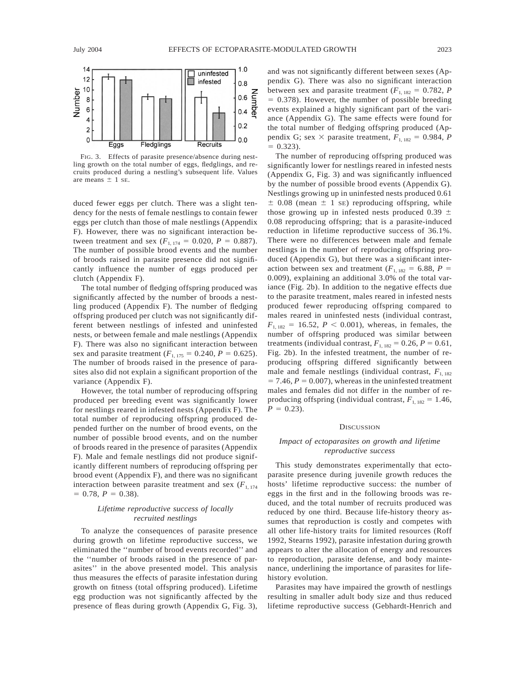

FIG. 3. Effects of parasite presence/absence during nestling growth on the total number of eggs, fledglings, and recruits produced during a nestling's subsequent life. Values are means  $\pm$  1 se.

duced fewer eggs per clutch. There was a slight tendency for the nests of female nestlings to contain fewer eggs per clutch than those of male nestlings (Appendix F). However, there was no significant interaction between treatment and sex ( $F_{1, 174} = 0.020$ ,  $P = 0.887$ ). The number of possible brood events and the number of broods raised in parasite presence did not significantly influence the number of eggs produced per clutch (Appendix F).

The total number of fledging offspring produced was significantly affected by the number of broods a nestling produced (Appendix F). The number of fledging offspring produced per clutch was not significantly different between nestlings of infested and uninfested nests, or between female and male nestlings (Appendix F). There was also no significant interaction between sex and parasite treatment ( $F_{1, 175} = 0.240$ ,  $P = 0.625$ ). The number of broods raised in the presence of parasites also did not explain a significant proportion of the variance (Appendix F).

However, the total number of reproducing offspring produced per breeding event was significantly lower for nestlings reared in infested nests (Appendix F). The total number of reproducing offspring produced depended further on the number of brood events, on the number of possible brood events, and on the number of broods reared in the presence of parasites (Appendix F). Male and female nestlings did not produce significantly different numbers of reproducing offspring per brood event (Appendix F), and there was no significant interaction between parasite treatment and sex  $(F_{1, 174})$  $= 0.78, P = 0.38$ .

# *Lifetime reproductive success of locally recruited nestlings*

To analyze the consequences of parasite presence during growth on lifetime reproductive success, we eliminated the ''number of brood events recorded'' and the ''number of broods raised in the presence of parasites'' in the above presented model. This analysis thus measures the effects of parasite infestation during growth on fitness (total offspring produced). Lifetime egg production was not significantly affected by the presence of fleas during growth (Appendix G, Fig. 3),

and was not significantly different between sexes (Appendix G). There was also no significant interaction between sex and parasite treatment  $(F_{1, 182} = 0.782, P$  $= 0.378$ ). However, the number of possible breeding events explained a highly significant part of the variance (Appendix G). The same effects were found for the total number of fledging offspring produced (Appendix G; sex  $\times$  parasite treatment,  $F_{1, 182} = 0.984$ , *P*  $= 0.323$ .

The number of reproducing offspring produced was significantly lower for nestlings reared in infested nests (Appendix G, Fig. 3) and was significantly influenced by the number of possible brood events (Appendix G). Nestlings growing up in uninfested nests produced 0.61  $\pm$  0.08 (mean  $\pm$  1 se) reproducing offspring, while those growing up in infested nests produced 0.39  $\pm$ 0.08 reproducing offspring; that is a parasite-induced reduction in lifetime reproductive success of 36.1%. There were no differences between male and female nestlings in the number of reproducing offspring produced (Appendix G), but there was a significant interaction between sex and treatment ( $F_{1, 182} = 6.88$ ,  $P =$ 0.009), explaining an additional 3.0% of the total variance (Fig. 2b). In addition to the negative effects due to the parasite treatment, males reared in infested nests produced fewer reproducing offspring compared to males reared in uninfested nests (individual contrast,  $F_{1, 182} = 16.52, P < 0.001$ , whereas, in females, the number of offspring produced was similar between treatments (individual contrast,  $F_{1, 182} = 0.26$ ,  $P = 0.61$ , Fig. 2b). In the infested treatment, the number of reproducing offspring differed significantly between male and female nestlings (individual contrast,  $F_{1,182}$ )  $= 7.46, P = 0.007$ , whereas in the uninfested treatment males and females did not differ in the number of reproducing offspring (individual contrast,  $F_{1, 182} = 1.46$ ,  $P = 0.23$ .

### **DISCUSSION**

# *Impact of ectoparasites on growth and lifetime reproductive success*

This study demonstrates experimentally that ectoparasite presence during juvenile growth reduces the hosts' lifetime reproductive success: the number of eggs in the first and in the following broods was reduced, and the total number of recruits produced was reduced by one third. Because life-history theory assumes that reproduction is costly and competes with all other life-history traits for limited resources (Roff 1992, Stearns 1992), parasite infestation during growth appears to alter the allocation of energy and resources to reproduction, parasite defense, and body maintenance, underlining the importance of parasites for lifehistory evolution.

Parasites may have impaired the growth of nestlings resulting in smaller adult body size and thus reduced lifetime reproductive success (Gebhardt-Henrich and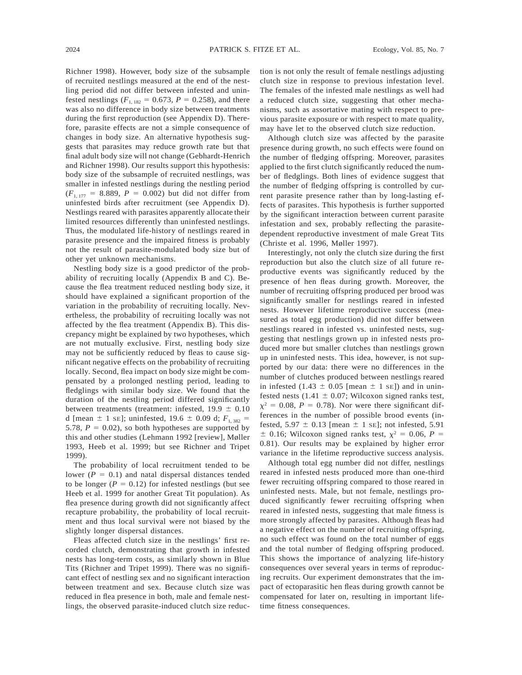Richner 1998). However, body size of the subsample of recruited nestlings measured at the end of the nestling period did not differ between infested and uninfested nestlings  $(F_{1, 182} = 0.673, P = 0.258)$ , and there was also no difference in body size between treatments during the first reproduction (see Appendix D). Therefore, parasite effects are not a simple consequence of changes in body size. An alternative hypothesis suggests that parasites may reduce growth rate but that final adult body size will not change (Gebhardt-Henrich and Richner 1998). Our results support this hypothesis: body size of the subsample of recruited nestlings, was smaller in infested nestlings during the nestling period  $(F_{1, 177} = 8.889, P = 0.002)$  but did not differ from uninfested birds after recruitment (see Appendix D). Nestlings reared with parasites apparently allocate their limited resources differently than uninfested nestlings. Thus, the modulated life-history of nestlings reared in parasite presence and the impaired fitness is probably not the result of parasite-modulated body size but of other yet unknown mechanisms.

Nestling body size is a good predictor of the probability of recruiting locally (Appendix B and C). Because the flea treatment reduced nestling body size, it should have explained a significant proportion of the variation in the probability of recruiting locally. Nevertheless, the probability of recruiting locally was not affected by the flea treatment (Appendix B). This discrepancy might be explained by two hypotheses, which are not mutually exclusive. First, nestling body size may not be sufficiently reduced by fleas to cause significant negative effects on the probability of recruiting locally. Second, flea impact on body size might be compensated by a prolonged nestling period, leading to fledglings with similar body size. We found that the duration of the nestling period differed significantly between treatments (treatment: infested,  $19.9 \pm 0.10$ d [mean  $\pm$  1 sE]; uninfested, 19.6  $\pm$  0.09 d;  $F_{1,382}$  = 5.78,  $P = 0.02$ ), so both hypotheses are supported by this and other studies (Lehmann 1992 [review], Møller 1993, Heeb et al. 1999; but see Richner and Tripet 1999).

The probability of local recruitment tended to be lower ( $P = 0.1$ ) and natal dispersal distances tended to be longer  $(P = 0.12)$  for infested nestlings (but see Heeb et al. 1999 for another Great Tit population). As flea presence during growth did not significantly affect recapture probability, the probability of local recruitment and thus local survival were not biased by the slightly longer dispersal distances.

Fleas affected clutch size in the nestlings' first recorded clutch, demonstrating that growth in infested nests has long-term costs, as similarly shown in Blue Tits (Richner and Tripet 1999). There was no significant effect of nestling sex and no significant interaction between treatment and sex. Because clutch size was reduced in flea presence in both, male and female nestlings, the observed parasite-induced clutch size reduction is not only the result of female nestlings adjusting clutch size in response to previous infestation level. The females of the infested male nestlings as well had a reduced clutch size, suggesting that other mechanisms, such as assortative mating with respect to previous parasite exposure or with respect to mate quality, may have let to the observed clutch size reduction.

Although clutch size was affected by the parasite presence during growth, no such effects were found on the number of fledging offspring. Moreover, parasites applied to the first clutch significantly reduced the number of fledglings. Both lines of evidence suggest that the number of fledging offspring is controlled by current parasite presence rather than by long-lasting effects of parasites. This hypothesis is further supported by the significant interaction between current parasite infestation and sex, probably reflecting the parasitedependent reproductive investment of male Great Tits (Christe et al. 1996, Møller 1997).

Interestingly, not only the clutch size during the first reproduction but also the clutch size of all future reproductive events was significantly reduced by the presence of hen fleas during growth. Moreover, the number of recruiting offspring produced per brood was significantly smaller for nestlings reared in infested nests. However lifetime reproductive success (measured as total egg production) did not differ between nestlings reared in infested vs. uninfested nests, suggesting that nestlings grown up in infested nests produced more but smaller clutches than nestlings grown up in uninfested nests. This idea, however, is not supported by our data: there were no differences in the number of clutches produced between nestlings reared in infested (1.43  $\pm$  0.05 [mean  $\pm$  1 sE]) and in uninfested nests (1.41  $\pm$  0.07; Wilcoxon signed ranks test,  $x^2 = 0.08$ ,  $P = 0.78$ ). Nor were there significant differences in the number of possible brood events (infested,  $5.97 \pm 0.13$  [mean  $\pm$  1 sE]; not infested, 5.91  $\pm$  0.16; Wilcoxon signed ranks test,  $\chi^2 = 0.06$ ,  $P =$ 0.81). Our results may be explained by higher error variance in the lifetime reproductive success analysis.

Although total egg number did not differ, nestlings reared in infested nests produced more than one-third fewer recruiting offspring compared to those reared in uninfested nests. Male, but not female, nestlings produced significantly fewer recruiting offspring when reared in infested nests, suggesting that male fitness is more strongly affected by parasites. Although fleas had a negative effect on the number of recruiting offspring, no such effect was found on the total number of eggs and the total number of fledging offspring produced. This shows the importance of analyzing life-history consequences over several years in terms of reproducing recruits. Our experiment demonstrates that the impact of ectoparasitic hen fleas during growth cannot be compensated for later on, resulting in important lifetime fitness consequences.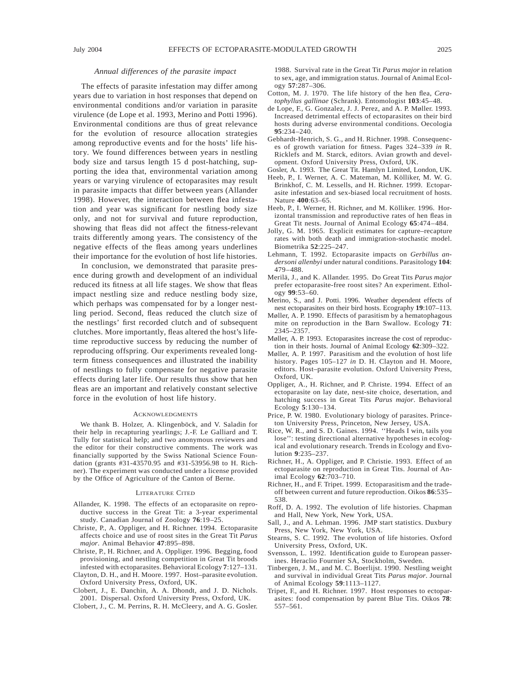# *Annual differences of the parasite impact*

The effects of parasite infestation may differ among years due to variation in host responses that depend on environmental conditions and/or variation in parasite virulence (de Lope et al. 1993, Merino and Potti 1996). Environmental conditions are thus of great relevance for the evolution of resource allocation strategies among reproductive events and for the hosts' life history. We found differences between years in nestling body size and tarsus length 15 d post-hatching, supporting the idea that, environmental variation among years or varying virulence of ectoparasites may result in parasite impacts that differ between years (Allander 1998). However, the interaction between flea infestation and year was significant for nestling body size only, and not for survival and future reproduction, showing that fleas did not affect the fitness-relevant traits differently among years. The consistency of the negative effects of the fleas among years underlines their importance for the evolution of host life histories.

In conclusion, we demonstrated that parasite presence during growth and development of an individual reduced its fitness at all life stages. We show that fleas impact nestling size and reduce nestling body size, which perhaps was compensated for by a longer nestling period. Second, fleas reduced the clutch size of the nestlings' first recorded clutch and of subsequent clutches. More importantly, fleas altered the host's lifetime reproductive success by reducing the number of reproducing offspring. Our experiments revealed longterm fitness consequences and illustrated the inability of nestlings to fully compensate for negative parasite effects during later life. Our results thus show that hen fleas are an important and relatively constant selective force in the evolution of host life history.

### ACKNOWLEDGMENTS

We thank B. Holzer, A. Klingenböck, and V. Saladin for their help in recapturing yearlings; J.-F. Le Galliard and T. Tully for statistical help; and two anonymous reviewers and the editor for their constructive comments. The work was financially supported by the Swiss National Science Foundation (grants #31-43570.95 and #31-53956.98 to H. Richner). The experiment was conducted under a license provided by the Office of Agriculture of the Canton of Berne.

### LITERATURE CITED

- Allander, K. 1998. The effects of an ectoparasite on reproductive success in the Great Tit: a 3-year experimental study. Canadian Journal of Zoology **76**:19–25.
- Christe, P., A. Oppliger, and H. Richner. 1994. Ectoparasite affects choice and use of roost sites in the Great Tit *Parus major*. Animal Behavior **47**:895–898.
- Christe, P., H. Richner, and A. Oppliger. 1996. Begging, food provisioning, and nestling competition in Great Tit broods infested with ectoparasites. Behavioral Ecology **7**:127–131.
- Clayton, D. H., and H. Moore. 1997. Host–parasite evolution. Oxford University Press, Oxford, UK.
- Clobert, J., E. Danchin, A. A. Dhondt, and J. D. Nichols. 2001. Dispersal. Oxford University Press, Oxford, UK.
- Clobert, J., C. M. Perrins, R. H. McCleery, and A. G. Gosler.

1988. Survival rate in the Great Tit *Parus major* in relation to sex, age, and immigration status. Journal of Animal Ecology **57**:287–306.

- Cotton, M. J. 1970. The life history of the hen flea, *Ceratophyllus gallinae* (Schrank). Entomologist **103**:45–48.
- de Lope, F., G. Gonzalez, J. J. Perez, and A. P. Møller. 1993. Increased detrimental effects of ectoparasites on their bird hosts during adverse environmental conditions. Oecologia **95**:234–240.
- Gebhardt-Henrich, S. G., and H. Richner. 1998. Consequences of growth variation for fitness. Pages 324–339 *in* R. Ricklefs and M. Starck, editors. Avian growth and development. Oxford University Press, Oxford, UK.
- Gosler, A. 1993. The Great Tit. Hamlyn Limited, London, UK.
- Heeb, P., I. Werner, A. C. Mateman, M. Kölliker, M. W. G. Brinkhof, C. M. Lessells, and H. Richner. 1999. Ectoparasite infestation and sex-biased local recruitment of hosts. Nature **400**:63–65.
- Heeb, P., I. Werner, H. Richner, and M. Kölliker. 1996. Horizontal transmission and reproductive rates of hen fleas in Great Tit nests. Journal of Animal Ecology **65**:474–484.
- Jolly, G. M. 1965. Explicit estimates for capture–recapture rates with both death and immigration-stochastic model. Biometrika **52**:225–247.
- Lehmann, T. 1992. Ectoparasite impacts on *Gerbillus andersoni allenbyi* under natural conditions. Parasitology **104**: 479–488.
- Merila¨, J., and K. Allander. 1995. Do Great Tits *Parus major* prefer ectoparasite-free roost sites? An experiment. Ethology **99**:53–60.
- Merino, S., and J. Potti. 1996. Weather dependent effects of nest ectoparasites on their bird hosts. Ecography **19**:107–113.
- Møller, A. P. 1990. Effects of parasitism by a hematophagous mite on reproduction in the Barn Swallow. Ecology **71**: 2345–2357.
- Møller, A. P. 1993. Ectoparasites increase the cost of reproduction in their hosts. Journal of Animal Ecology **62**:309–322.
- Møller, A. P. 1997. Parasitism and the evolution of host life history. Pages 105–127 *in* D. H. Clayton and H. Moore, editors. Host–parasite evolution. Oxford University Press, Oxford, UK.
- Oppliger, A., H. Richner, and P. Christe. 1994. Effect of an ectoparasite on lay date, nest-site choice, desertation, and hatching success in Great Tits *Parus major*. Behavioral Ecology **5**:130–134.
- Price, P. W. 1980. Evolutionary biology of parasites. Princeton University Press, Princeton, New Jersey, USA.
- Rice, W. R., and S. D. Gaines. 1994. ''Heads I win, tails you lose'': testing directional alternative hypotheses in ecological and evolutionary research. Trends in Ecology and Evolution **9**:235–237.
- Richner, H., A. Oppliger, and P. Christie. 1993. Effect of an ectoparasite on reproduction in Great Tits. Journal of Animal Ecology **62**:703–710.
- Richner, H., and F. Tripet. 1999. Ectoparasitism and the tradeoff between current and future reproduction. Oikos **86**:535– 538.
- Roff, D. A. 1992. The evolution of life histories. Chapman and Hall, New York, New York, USA.
- Sall, J., and A. Lehman. 1996. JMP start statistics. Duxbury Press, New York, New York, USA.
- Stearns, S. C. 1992. The evolution of life histories. Oxford University Press, Oxford, UK.
- Svensson, L. 1992. Identification guide to European passerines. Heraclio Fournier SA, Stockholm, Sweden.
- Tinbergen, J. M., and M. C. Boerlijst. 1990. Nestling weight and survival in individual Great Tits *Parus major*. Journal of Animal Ecology **59**:1113–1127.
- Tripet, F., and H. Richner. 1997. Host responses to ectoparasites: food compensation by parent Blue Tits. Oikos **78**: 557–561.